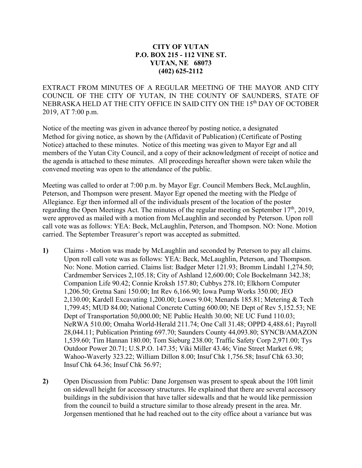## **CITY OF YUTAN P.O. BOX 215 - 112 VINE ST. YUTAN, NE 68073 (402) 625-2112**

EXTRACT FROM MINUTES OF A REGULAR MEETING OF THE MAYOR AND CITY COUNCIL OF THE CITY OF YUTAN, IN THE COUNTY OF SAUNDERS, STATE OF NEBRASKA HELD AT THE CITY OFFICE IN SAID CITY ON THE 15th DAY OF OCTOBER 2019, AT 7:00 p.m.

Notice of the meeting was given in advance thereof by posting notice, a designated Method for giving notice, as shown by the (Affidavit of Publication) (Certificate of Posting Notice) attached to these minutes. Notice of this meeting was given to Mayor Egr and all members of the Yutan City Council, and a copy of their acknowledgment of receipt of notice and the agenda is attached to these minutes. All proceedings hereafter shown were taken while the convened meeting was open to the attendance of the public.

Meeting was called to order at 7:00 p.m. by Mayor Egr. Council Members Beck, McLaughlin, Peterson, and Thompson were present. Mayor Egr opened the meeting with the Pledge of Allegiance. Egr then informed all of the individuals present of the location of the poster regarding the Open Meetings Act. The minutes of the regular meeting on September 17<sup>th</sup>, 2019, were approved as mailed with a motion from McLaughlin and seconded by Peterson. Upon roll call vote was as follows: YEA: Beck, McLaughlin, Peterson, and Thompson. NO: None. Motion carried. The September Treasurer's report was accepted as submitted.

- **1)** Claims Motion was made by McLaughlin and seconded by Peterson to pay all claims. Upon roll call vote was as follows: YEA: Beck, McLaughlin, Peterson, and Thompson. No: None. Motion carried. Claims list: Badger Meter 121.93; Bromm Lindahl 1,274.50; Cardmember Services 2,105.18; City of Ashland 12,600.00; Cole Bockelmann 342.38; Companion Life 90.42; Connie Kroksh 157.80; Cubbys 278.10; Elkhorn Computer 1,206.50; Gretna Sani 150.00; Int Rev 6,166.90; Iowa Pump Works 350.00; JEO 2,130.00; Kardell Excavating 1,200.00; Lowes 9.04; Menards 185.81; Metering & Tech 1,799.45; MUD 84.00; National Concrete Cutting 600.00; NE Dept of Rev 5,152.53; NE Dept of Transportation 50,000.00; NE Public Health 30.00; NE UC Fund 110.03; NeRWA 510.00; Omaha World-Herald 211.74; One Call 31.48; OPPD 4,488.61; Payroll 28,044.11; Publication Printing 697.70; Saunders County 44,093.80; SYNCB/AMAZON 1,539.60; Tim Hannan 180.00; Tom Sieburg 238.00; Traffic Safety Corp 2,971.00; Tys Outdoor Power 20.71; U.S.P.O. 147.35; Viki Miller 43.46; Vine Street Market 6.98; Wahoo-Waverly 323.22; William Dillon 8.00; Insuf Chk 1,756.58; Insuf Chk 63.30; Insuf Chk 64.36; Insuf Chk 56.97;
- **2)** Open Discussion from Public: Dane Jorgensen was present to speak about the 10ft limit on sidewall height for accessory structures. He explained that there are several accessory buildings in the subdivision that have taller sidewalls and that he would like permission from the council to build a structure similar to those already present in the area. Mr. Jorgensen mentioned that he had reached out to the city office about a variance but was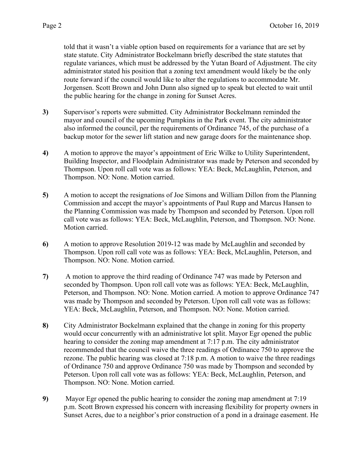told that it wasn't a viable option based on requirements for a variance that are set by state statute. City Administrator Bockelmann briefly described the state statutes that regulate variances, which must be addressed by the Yutan Board of Adjustment. The city administrator stated his position that a zoning text amendment would likely be the only route forward if the council would like to alter the regulations to accommodate Mr. Jorgensen. Scott Brown and John Dunn also signed up to speak but elected to wait until the public hearing for the change in zoning for Sunset Acres.

- **3)** Supervisor's reports were submitted. City Administrator Bockelmann reminded the mayor and council of the upcoming Pumpkins in the Park event. The city administrator also informed the council, per the requirements of Ordinance 745, of the purchase of a backup motor for the sewer lift station and new garage doors for the maintenance shop.
- **4)** A motion to approve the mayor's appointment of Eric Wilke to Utility Superintendent, Building Inspector, and Floodplain Administrator was made by Peterson and seconded by Thompson. Upon roll call vote was as follows: YEA: Beck, McLaughlin, Peterson, and Thompson. NO: None. Motion carried.
- **5)** A motion to accept the resignations of Joe Simons and William Dillon from the Planning Commission and accept the mayor's appointments of Paul Rupp and Marcus Hansen to the Planning Commission was made by Thompson and seconded by Peterson. Upon roll call vote was as follows: YEA: Beck, McLaughlin, Peterson, and Thompson. NO: None. Motion carried.
- **6)** A motion to approve Resolution 2019-12 was made by McLaughlin and seconded by Thompson. Upon roll call vote was as follows: YEA: Beck, McLaughlin, Peterson, and Thompson. NO: None. Motion carried.
- **7)** A motion to approve the third reading of Ordinance 747 was made by Peterson and seconded by Thompson. Upon roll call vote was as follows: YEA: Beck, McLaughlin, Peterson, and Thompson. NO: None. Motion carried. A motion to approve Ordinance 747 was made by Thompson and seconded by Peterson. Upon roll call vote was as follows: YEA: Beck, McLaughlin, Peterson, and Thompson. NO: None. Motion carried.
- **8)** City Administrator Bockelmann explained that the change in zoning for this property would occur concurrently with an administrative lot split. Mayor Egr opened the public hearing to consider the zoning map amendment at 7:17 p.m. The city administrator recommended that the council waive the three readings of Ordinance 750 to approve the rezone. The public hearing was closed at 7:18 p.m. A motion to waive the three readings of Ordinance 750 and approve Ordinance 750 was made by Thompson and seconded by Peterson. Upon roll call vote was as follows: YEA: Beck, McLaughlin, Peterson, and Thompson. NO: None. Motion carried.
- **9)** Mayor Egr opened the public hearing to consider the zoning map amendment at 7:19 p.m. Scott Brown expressed his concern with increasing flexibility for property owners in Sunset Acres, due to a neighbor's prior construction of a pond in a drainage easement. He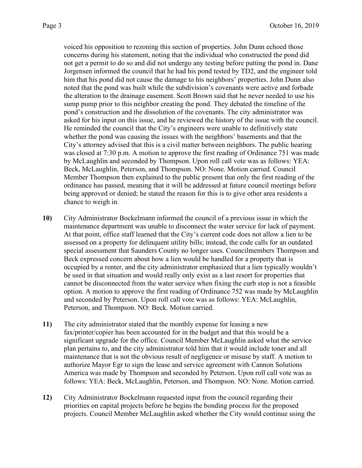voiced his opposition to rezoning this section of properties. John Dunn echoed those concerns during his statement, noting that the individual who constructed the pond did not get a permit to do so and did not undergo any testing before putting the pond in. Dane Jorgensen informed the council that he had his pond tested by TD2, and the engineer told him that his pond did not cause the damage to his neighbors' properties. John Dunn also noted that the pond was built while the subdivision's covenants were active and forbade the alteration to the drainage easement. Scott Brown said that he never needed to use his sump pump prior to this neighbor creating the pond. They debated the timeline of the pond's construction and the dissolution of the covenants. The city administrator was asked for his input on this issue, and he reviewed the history of the issue with the council. He reminded the council that the City's engineers were unable to definitively state whether the pond was causing the issues with the neighbors' basements and that the City's attorney advised that this is a civil matter between neighbors. The public hearing was closed at 7:30 p.m. A motion to approve the first reading of Ordinance 751 was made by McLaughlin and seconded by Thompson. Upon roll call vote was as follows: YEA: Beck, McLaughlin, Peterson, and Thompson. NO: None. Motion carried. Council Member Thompson then explained to the public present that only the first reading of the ordinance has passed, meaning that it will be addressed at future council meetings before being approved or denied; he stated the reason for this is to give other area residents a chance to weigh in.

- **10)** City Administrator Bockelmann informed the council of a previous issue in which the maintenance department was unable to disconnect the water service for lack of payment. At that point, office staff learned that the City's current code does not allow a lien to be assessed on a property for delinquent utility bills; instead, the code calls for an outdated special assessment that Saunders County no longer uses. Councilmembers Thompson and Beck expressed concern about how a lien would be handled for a property that is occupied by a renter, and the city administrator emphasized that a lien typically wouldn't be used in that situation and would really only exist as a last resort for properties that cannot be disconnected from the water service when fixing the curb stop is not a feasible option. A motion to approve the first reading of Ordinance 752 was made by McLaughlin and seconded by Peterson. Upon roll call vote was as follows: YEA: McLaughlin, Peterson, and Thompson. NO: Beck. Motion carried.
- **11)** The city administrator stated that the monthly expense for leasing a new fax/printer/copier has been accounted for in the budget and that this would be a significant upgrade for the office. Council Member McLaughlin asked what the service plan pertains to, and the city administrator told him that it would include toner and all maintenance that is not the obvious result of negligence or misuse by staff. A motion to authorize Mayor Egr to sign the lease and service agreement with Cannon Solutions America was made by Thompson and seconded by Peterson. Upon roll call vote was as follows: YEA: Beck, McLaughlin, Peterson, and Thompson. NO: None. Motion carried.
- **12)** City Administrator Bockelmann requested input from the council regarding their priorities on capital projects before he begins the bonding process for the proposed projects. Council Member McLaughlin asked whether the City would continue using the